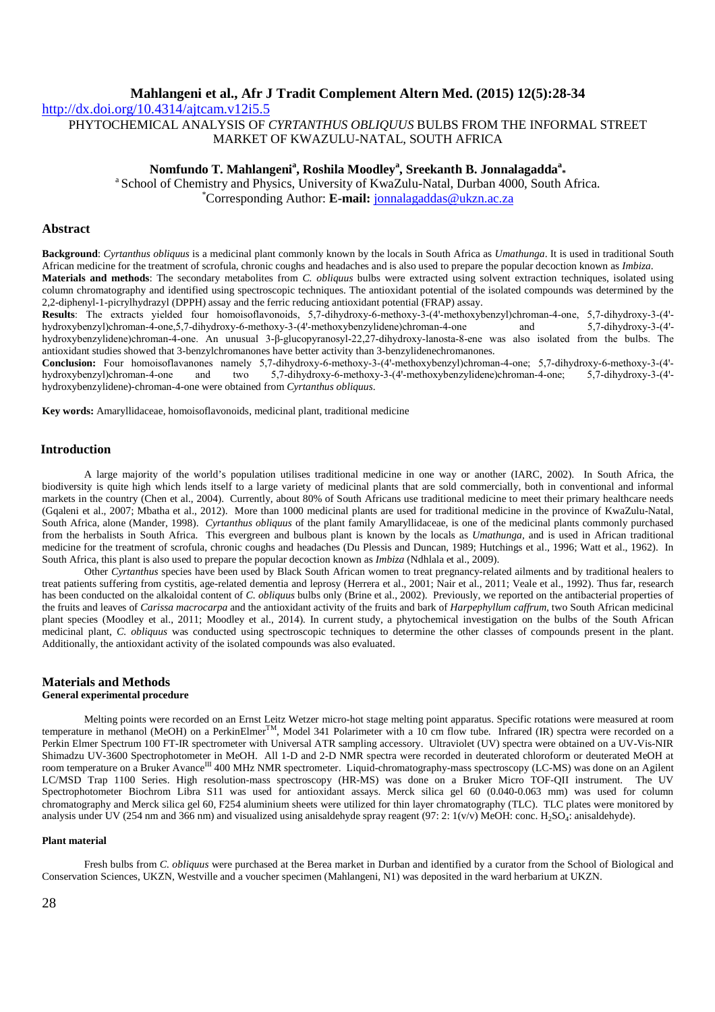http://dx.doi.org/10.4314/ajtcam.v12i5.5 PHYTOCHEMICAL ANALYSIS OF *CYRTANTHUS OBLIQUUS* BULBS FROM THE INFORMAL STREET MARKET OF KWAZULU-NATAL, SOUTH AFRICA

# **Nomfundo T. Mahlangeni<sup>a</sup> , Roshila Moodley<sup>a</sup> , Sreekanth B. Jonnalagadda<sup>a</sup> \***

<sup>a</sup> School of Chemistry and Physics, University of KwaZulu-Natal, Durban 4000, South Africa. \*Corresponding Author: **E-mail:** jonnalagaddas@ukzn.ac.za

## **Abstract**

**Background**: *Cyrtanthus obliquus* is a medicinal plant commonly known by the locals in South Africa as *Umathunga*. It is used in traditional South African medicine for the treatment of scrofula, chronic coughs and headaches and is also used to prepare the popular decoction known as *Imbiza*. **Materials and methods**: The secondary metabolites from *C. obliquus* bulbs were extracted using solvent extraction techniques, isolated using

column chromatography and identified using spectroscopic techniques. The antioxidant potential of the isolated compounds was determined by the 2,2-diphenyl-1-picrylhydrazyl (DPPH) assay and the ferric reducing antioxidant potential (FRAP) assay.

**Results**: The extracts yielded four homoisoflavonoids, 5,7-dihydroxy-6-methoxy-3-(4'-methoxybenzyl)chroman-4-one, 5,7-dihydroxy-3-(4'hydroxybenzyl)chroman-4-one,5,7-dihydroxy-6-methoxy-3-(4'-methoxybenzylidene)chroman-4-one and 5,7-dihydroxy-3-(4'hydroxybenzylidene)chroman-4-one. An unusual 3-β-glucopyranosyl-22,27-dihydroxy-lanosta-8-ene was also isolated from the bulbs. The antioxidant studies showed that 3-benzylchromanones have better activity than 3-benzylidenechromanones.

**Conclusion:** Four homoisoflavanones namely 5,7-dihydroxy-6-methoxy-3-(4'-methoxybenzyl)chroman-4-one; 5,7-dihydroxy-6-methoxy-3-(4'hydroxybenzyl)chroman-4-one and two 5,7-dihydroxy-6-methoxy-3-(4'-methoxybenzylidene)chroman-4-one; 5,7-dihydroxy-3-(4'hydroxybenzylidene)-chroman-4-one were obtained from *Cyrtanthus obliquus*.

**Key words:** Amaryllidaceae, homoisoflavonoids, medicinal plant, traditional medicine

## **Introduction**

A large majority of the world's population utilises traditional medicine in one way or another (IARC, 2002). In South Africa, the biodiversity is quite high which lends itself to a large variety of medicinal plants that are sold commercially, both in conventional and informal markets in the country (Chen et al., 2004). Currently, about 80% of South Africans use traditional medicine to meet their primary healthcare needs (Gqaleni et al., 2007; Mbatha et al., 2012). More than 1000 medicinal plants are used for traditional medicine in the province of KwaZulu-Natal, South Africa, alone (Mander, 1998). *Cyrtanthus obliquus* of the plant family Amaryllidaceae, is one of the medicinal plants commonly purchased from the herbalists in South Africa. This evergreen and bulbous plant is known by the locals as *Umathunga,* and is used in African traditional medicine for the treatment of scrofula, chronic coughs and headaches (Du Plessis and Duncan, 1989; Hutchings et al., 1996; Watt et al., 1962). In South Africa, this plant is also used to prepare the popular decoction known as *Imbiza* (Ndhlala et al., 2009).

Other *Cyrtanthus* species have been used by Black South African women to treat pregnancy-related ailments and by traditional healers to treat patients suffering from cystitis, age-related dementia and leprosy (Herrera et al., 2001; Nair et al., 2011; Veale et al., 1992). Thus far, research has been conducted on the alkaloidal content of *C. obliquus* bulbs only (Brine et al., 2002). Previously, we reported on the antibacterial properties of the fruits and leaves of *Carissa macrocarpa* and the antioxidant activity of the fruits and bark of *Harpephyllum caffrum,* two South African medicinal plant species (Moodley et al., 2011; Moodley et al., 2014)*.* In current study, a phytochemical investigation on the bulbs of the South African medicinal plant, *C. obliquus* was conducted using spectroscopic techniques to determine the other classes of compounds present in the plant. Additionally, the antioxidant activity of the isolated compounds was also evaluated.

#### **Materials and Methods General experimental procedure**

Melting points were recorded on an Ernst Leitz Wetzer micro-hot stage melting point apparatus. Specific rotations were measured at room temperature in methanol (MeOH) on a PerkinElmer<sup>TM</sup>, Model 341 Polarimeter with a 10 cm flow tube. Infrared (IR) spectra were recorded on a Perkin Elmer Spectrum 100 FT-IR spectrometer with Universal ATR sampling accessory. Ultraviolet (UV) spectra were obtained on a UV-Vis-NIR Shimadzu UV-3600 Spectrophotometer in MeOH. All 1-D and 2-D NMR spectra were recorded in deuterated chloroform or deuterated MeOH at room temperature on a Bruker Avance<sup>III</sup> 400 MHz NMR spectrometer. Liquid-chromatography-mass spectroscopy (LC-MS) was done on an Agilent LC/MSD Trap 1100 Series. High resolution-mass spectroscopy (HR-MS) was done on a Bruker Micro TOF-QII instrument. The UV Spectrophotometer Biochrom Libra S11 was used for antioxidant assays. Merck silica gel 60 (0.040-0.063 mm) was used for column chromatography and Merck silica gel 60, F254 aluminium sheets were utilized for thin layer chromatography (TLC). TLC plates were monitored by analysis under UV (254 nm and 366 nm) and visualized using anisaldehyde spray reagent (97: 2: 1(v/v) MeOH: conc. H<sub>2</sub>SO<sub>4</sub>: anisaldehyde).

#### **Plant material**

Fresh bulbs from *C. obliquus* were purchased at the Berea market in Durban and identified by a curator from the School of Biological and Conservation Sciences, UKZN, Westville and a voucher specimen (Mahlangeni, N1) was deposited in the ward herbarium at UKZN.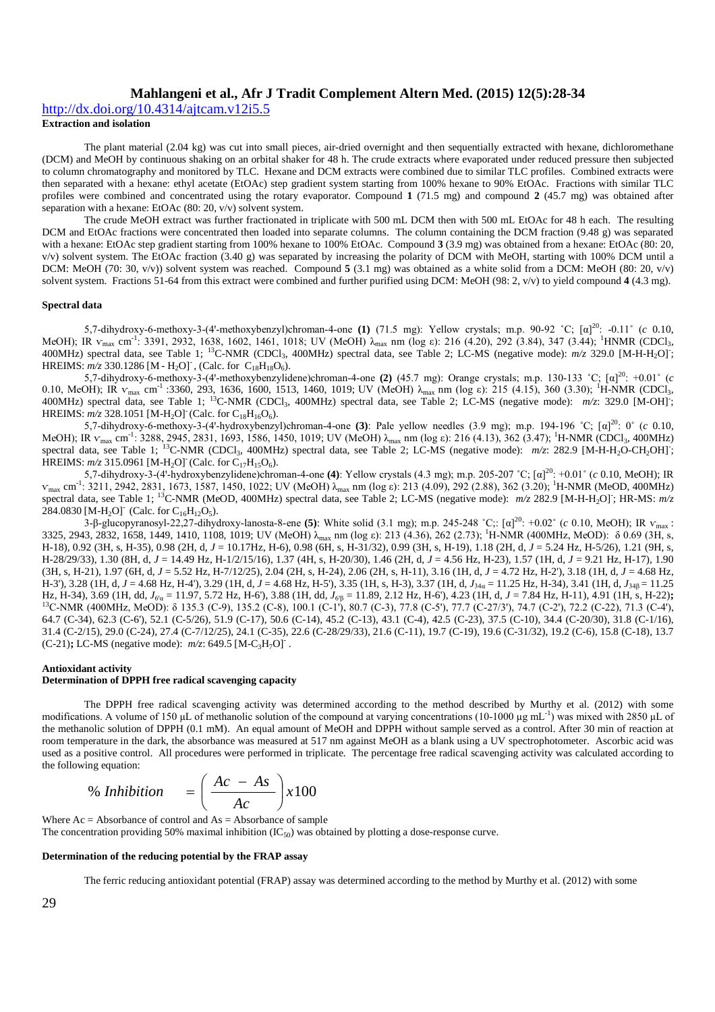http://dx.doi.org/10.4314/ajtcam.v12i5.5

**Extraction and isolation**

The plant material (2.04 kg) was cut into small pieces, air-dried overnight and then sequentially extracted with hexane, dichloromethane (DCM) and MeOH by continuous shaking on an orbital shaker for 48 h. The crude extracts where evaporated under reduced pressure then subjected to column chromatography and monitored by TLC. Hexane and DCM extracts were combined due to similar TLC profiles. Combined extracts were then separated with a hexane: ethyl acetate (EtOAc) step gradient system starting from 100% hexane to 90% EtOAc. Fractions with similar TLC profiles were combined and concentrated using the rotary evaporator. Compound **1** (71.5 mg) and compound **2** (45.7 mg) was obtained after separation with a hexane: EtOAc (80: 20, v/v) solvent system.

The crude MeOH extract was further fractionated in triplicate with 500 mL DCM then with 500 mL EtOAc for 48 h each. The resulting DCM and EtOAc fractions were concentrated then loaded into separate columns. The column containing the DCM fraction (9.48 g) was separated with a hexane: EtOAc step gradient starting from 100% hexane to 100% EtOAc. Compound **3** (3.9 mg) was obtained from a hexane: EtOAc (80: 20, v/v) solvent system. The EtOAc fraction (3.40 g) was separated by increasing the polarity of DCM with MeOH, starting with 100% DCM until a DCM: MeOH (70: 30, v/v)) solvent system was reached. Compound **5** (3.1 mg) was obtained as a white solid from a DCM: MeOH (80: 20, v/v) solvent system. Fractions 51-64 from this extract were combined and further purified using DCM: MeOH (98: 2, v/v) to yield compound **4** (4.3 mg).

#### **Spectral data**

5,7-dihydroxy-6-methoxy-3-(4'-methoxybenzyl)chroman-4-one (1) (71.5 mg): Yellow crystals; m.p. 90-92 °C; [a]<sup>20</sup>: -0.11° (*c* 0.10, MeOH); IR  $v_{\text{max}}$  cm<sup>-1</sup>: 3391, 2932, 1638, 1602, 1461, 1018; UV (MeOH)  $\lambda_{\text{max}}$  nm (log ε): 216 (4.20), 292 (3.84), 347 (3.44); <sup>1</sup>HNMR (CDCl<sub>3</sub>, 400MHz) spectral data, see Table 1; <sup>13</sup>C-NMR (CDCl<sub>3</sub>, 400MHz) spectral data, see Table 2; LC-MS (negative mode): *m/z* 329.0 [M-H-H<sub>2</sub>O]; HREIMS:  $m/z$  330.1286 [M - H<sub>2</sub>O]<sup>-</sup>, (Calc. for C<sub>18</sub>H<sub>18</sub>O<sub>6</sub>).

5,7-dihydroxy-6-methoxy-3-(4'-methoxybenzylidene)chroman-4-one (2)  $(45.7 \text{ mg})$ : Orange crystals; m.p. 130-133 °C;  $\lceil \alpha \rceil^{20}$ : +0.01° (*c*) 0.10, MeOH); IR  $v_{\text{max}}$  cm<sup>-1</sup> :3360, 293, 1636, 1600, 1513, 1460, 1019; UV (MeOH) λ<sub>max</sub> nm (log ε): 215 (4.15), 360 (3.30); <sup>1</sup>H-NMR (CDCl<sub>3</sub>, 400MHz) spectral data, see Table 1; <sup>13</sup>C-NMR (CDCl<sub>3</sub>, 400MHz) spectral data, see Table 2; LC-MS (negative mode): *m/z*: 329.0 [M-OH]; HREIMS:  $m/z$  328.1051 [M-H<sub>2</sub>O] (Calc. for C<sub>18</sub>H<sub>16</sub>O<sub>6</sub>).

5,7-dihydroxy-6-methoxy-3-(4'-hydroxybenzyl)chroman-4-one (3): Pale yellow needles (3.9 mg); m.p. 194-196 °C; [α]<sup>20</sup>: 0° (*c* 0.10, MeOH); IR  $v_{\text{max}}$  cm<sup>-1</sup>: 3288, 2945, 2831, 1693, 1586, 1450, 1019; UV (MeOH)  $\lambda_{\text{max}}$  nm (log ε): 216 (4.13), 362 (3.47); <sup>1</sup>H-NMR (CDCl<sub>3</sub>, 400MHz) spectral data, see Table 1; <sup>13</sup>C-NMR (CDCl<sub>3</sub>, 400MHz) spectral data, see Table 2; LC-MS (negative mode): *m/z*: 282.9 [M-H-H<sub>2</sub>O-CH<sub>2</sub>OH]; HREIMS:  $m/z$  315.0961 [M-H<sub>2</sub>O] (Calc. for C<sub>17</sub>H<sub>15</sub>O<sub>6</sub>).

5,7-dihydroxy-3-(4ꞌ-hydroxybenzylidene)chroman-4-one **(4)**: Yellow crystals (4.3 mg); m.p. 205-207 ˚C; [α] <sup>20</sup>: +0.01˚ (*c* 0.10, MeOH); IR  $V_{\text{max}}$  cm<sup>-1</sup>: 3211, 2942, 2831, 1673, 1587, 1450, 1022; UV (MeOH) λ<sub>max</sub> nm (log ε): 213 (4.09), 292 (2.88), 362 (3.20); <sup>1</sup>H-NMR (MeOD, 400MHz) spectral data, see Table 1; <sup>13</sup>C-NMR (MeOD, 400MHz) spectral data, see Table 2; LC-MS (negative mode):  $m/z$  282.9 [M-H-H<sub>2</sub>O]; HR-MS:  $m/z$ 284.0830 [M-H<sub>2</sub>O]<sup>-</sup> (Calc. for C<sub>16</sub>H<sub>12</sub>O<sub>5</sub>).

3-β-glucopyranosyl-22,27-dihydroxy-lanosta-8-ene (5): White solid (3.1 mg); m.p. 245-248 °C;: [α]<sup>20</sup>: +0.02° (*c* 0.10, MeOH); IR  $v_{max}$ : 3325, 2943, 2832, 1658, 1449, 1410, 1108, 1019; UV (MeOH)  $\lambda_{\text{max}}$  nm (log ε): 213 (4.36), 262 (2.73); <sup>1</sup>H-NMR (400MHz, MeOD): δ 0.69 (3H, s, H-18), 0.92 (3H, s, H-35), 0.98 (2H, d, *J* = 10.17Hz, H-6), 0.98 (6H, s, H-31/32), 0.99 (3H, s, H-19), 1.18 (2H, d, *J* = 5.24 Hz, H-5/26), 1.21 (9H, s, H-28/29/33), 1.30 (8H, d, *J* = 14.49 Hz, H-1/2/15/16), 1.37 (4H, s, H-20/30), 1.46 (2H, d, *J* = 4.56 Hz, H-23), 1.57 (1H, d, *J* = 9.21 Hz, H-17), 1.90 (3H, s, H-21), 1.97 (6H, d, *J* = 5.52 Hz, H-7/12/25), 2.04 (2H, s, H-24), 2.06 (2H, s, H-11), 3.16 (1H, d, *J* = 4.72 Hz, H-2'), 3.18 (1H, d, *J* = 4.68 Hz, H-3'), 3.28 (1H, d, *J* = 4.68 Hz, H-4'), 3.29 (1H, d, *J* = 4.68 Hz, H-5'), 3.35 (1H, s, H-3), 3.37 (1H, d, *J*34α = 11.25 Hz, H-34), 3.41 (1H, d, *J*34β = 11.25 Hz, H-34), 3.69 (1H, dd, *J*<sub>6 $\alpha$ </sub> = 11.97, 5.72 Hz, H-6'), 3.88 (1H, dd, *J*<sub>6</sub><sup>B</sup> = 11.89, 2.12 Hz, H-6'), 4.23 (1H, d, *J* = 7.84 Hz, H-11), 4.91 (1H, s, H-22)**;** <sup>13</sup>C-NMR (400MHz, MeOD): δ 135.3 (C-9), 135.2 (C-8), 100.1 (C-1<sup>'</sup>), 80.7 (C-3), 77.8 (C-5'), 77.7 (C-27/3'), 74.7 (C-2'), 72.2 (C-22), 71.3 (C-4'), 64.7 (C-34), 62.3 (C-6'), 52.1 (C-5/26), 51.9 (C-17), 50.6 (C-14), 45.2 (C-13), 43.1 (C-4), 42.5 (C-23), 37.5 (C-10), 34.4 (C-20/30), 31.8 (C-1/16), 31.4 (C-2/15), 29.0 (C-24), 27.4 (C-7/12/25), 24.1 (C-35), 22.6 (C-28/29/33), 21.6 (C-11), 19.7 (C-19), 19.6 (C-31/32), 19.2 (C-6), 15.8 (C-18), 13.7 (C-21)**;** LC-MS (negative mode):  $m/z$ : 649.5 [M-C<sub>3</sub>H<sub>7</sub>O] .

#### **Antioxidant activity**

# **Determination of DPPH free radical scavenging capacity**

The DPPH free radical scavenging activity was determined according to the method described by Murthy et al. (2012) with some modifications. A volume of 150  $\mu$ L of methanolic solution of the compound at varying concentrations (10-1000  $\mu$ g mL<sup>-1</sup>) was mixed with 2850  $\mu$ L of the methanolic solution of DPPH (0.1 mM). An equal amount of MeOH and DPPH without sample served as a control. After 30 min of reaction at room temperature in the dark, the absorbance was measured at 517 nm against MeOH as a blank using a UV spectrophotometer. Ascorbic acid was used as a positive control. All procedures were performed in triplicate. The percentage free radical scavenging activity was calculated according to the following equation:

$$
\% Inhibition = \left(\frac{Ac - As}{Ac}\right) \times 100
$$

Where  $Ac = Absorbance$  of control and  $As = Absorbance$  of sample The concentration providing 50% maximal inhibition  $(IC_{50})$  was obtained by plotting a dose-response curve.

#### **Determination of the reducing potential by the FRAP assay**

The ferric reducing antioxidant potential (FRAP) assay was determined according to the method by Murthy et al. (2012) with some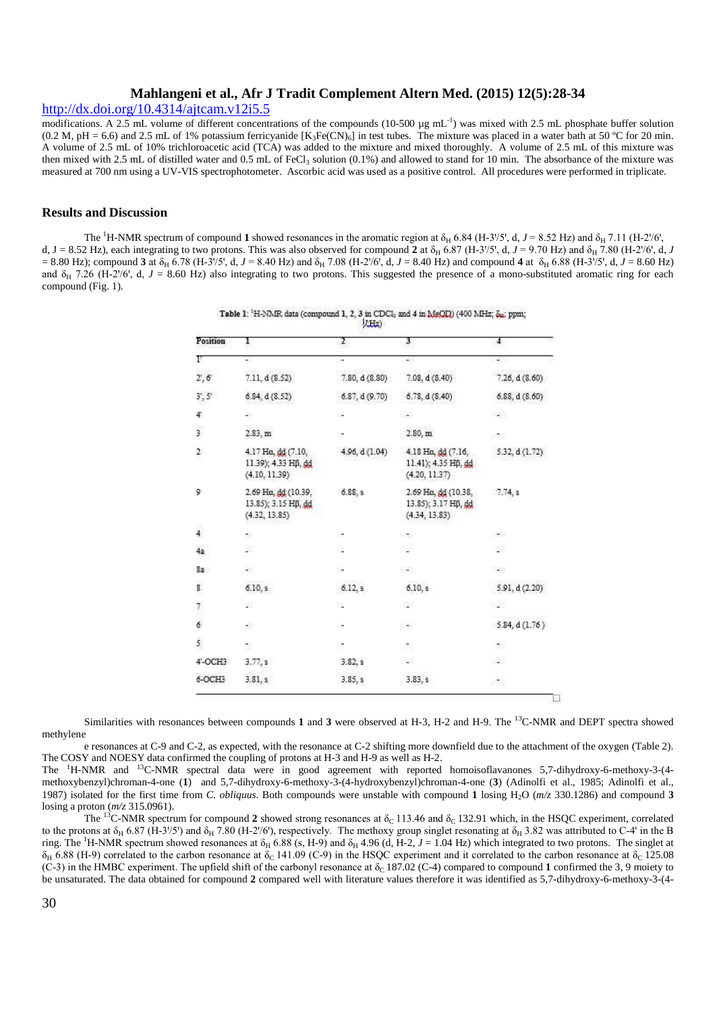# http://dx.doi.org/10.4314/ajtcam.v12i5.5

modifications. A 2.5 mL volume of different concentrations of the compounds (10-500 µg mL<sup>-1</sup>) was mixed with 2.5 mL phosphate buffer solution  $(0.2 \text{ M}, \text{pH} = 6.6)$  and 2.5 mL of 1% potassium ferricyanide  $[K_3Fe(CN)_6]$  in test tubes. The mixture was placed in a water bath at 50 °C for 20 min. A volume of 2.5 mL of 10% trichloroacetic acid (TCA) was added to the mixture and mixed thoroughly. A volume of 2.5 mL of this mixture was then mixed with 2.5 mL of distilled water and 0.5 mL of FeCl<sub>3</sub> solution (0.1%) and allowed to stand for 10 min. The absorbance of the mixture was measured at 700 nm using a UV-VIS spectrophotometer. Ascorbic acid was used as a positive control. All procedures were performed in triplicate.

## **Results and Discussion**

The <sup>1</sup>H-NMR spectrum of compound **1** showed resonances in the aromatic region at  $\delta_H$  6.84 (H-3<sup>1</sup>/5<sup>1</sup>, d,  $J = 8.52$  Hz) and  $\delta_H$  7.11 (H-2<sup>1</sup>/6<sup>1</sup>, d, J = 8.52 Hz), each integrating to two protons. This was also observed for compound 2 at  $\delta_H$  6.87 (H-3 $/5$ , d,  $J = 9.70$  Hz) and  $\delta_H$  7.80 (H-2 $/6$ , d, J  $= 8.80$  Hz); compound **3** at  $\delta_H$  6.78 (H-3 $/5$ , d,  $J = 8.40$  Hz) and  $\delta_H$  7.08 (H-2 $/6$ , d,  $J = 8.40$  Hz) and compound **4** at  $\delta_H$  6.88 (H-3 $/5$ , d,  $J = 8.60$  Hz) and  $\delta_H$  7.26 (H-2/6', d,  $J = 8.60$  Hz) also integrating to two protons. This suggested the presence of a mono-substituted aromatic ring for each compound (Fig. 1).

| Position      | 1                                                           | Σ                | 3.                                                          | 4              |
|---------------|-------------------------------------------------------------|------------------|-------------------------------------------------------------|----------------|
| F             | 28                                                          | ٠                | ۰.                                                          | $\rightarrow$  |
| 2', 6         | 7.11, d(8.52)                                               | 7.80, d(8.80)    | 7.08, d(8.40)                                               | 7.26, d(8.60)  |
| 3', 5'        | 6.84, d(8.52)                                               | 6.87, d(9.70)    | 6.78, d(8.40)                                               | 6.88, d(8.60)  |
| 41            | 56                                                          |                  | 546                                                         | 548            |
| š             | 2.83, m                                                     | ×                | 2.80, m                                                     | 538            |
| $\mathbf{2}$  | 4.17 Ho, dd (7.10,<br>11.39); 4.33 HB, dd<br>(4.10, 11.39)  | 4.96, d $(1.04)$ | 4.18 Ha, dd (7.16,<br>11.41); 4.35 Hß, dd<br>(4.20, 11.37)  | 5.32, d (1.72) |
| 9             | 2.69 Ha, dd (10.39,<br>13.85); 3.15 HB, dd<br>(4.32, 13.85) | 6.88, s          | 2.69 Ha, dd (10.38,<br>13.85); 3.17 HB, dd<br>(4.34, 13.83) | 7.74, s        |
| $\frac{1}{4}$ | ÷8                                                          | ×                | 日本の                                                         | $\rightarrow$  |
| 4a            | ŝ,                                                          | ×                | 冷淡                                                          | 92             |
| 8а            | 28                                                          | ٠.               | - 33                                                        | 540            |
| 8             | 6.10.9.                                                     | 6.12, s          | 6.10, s                                                     | 5.91, d(2.20)  |
| 7             | 8                                                           |                  | 828                                                         | 823            |
| 6             | ÷ö                                                          | ×                | 540                                                         | 5.84, d(1.76)  |
| 5             | 酚                                                           | ×                | -2                                                          | -32            |
| 4'-OCH3       | 3.77, s                                                     | 3.82, s          | $\sim$                                                      | $\sim 10$      |
| 6-OCH3        | 3.81, s                                                     | 3.85, s          | 3.83, s                                                     | 538            |

Table 1: <sup>1</sup>H-NMR data (compound 1, 2, 3 in CDCl; and 4 in MeQD) (400 MHz;  $\delta_{\text{m}}$ ; ppm;

Similarities with resonances between compounds **1** and **3** were observed at H-3, H-2 and H-9. The <sup>13</sup>C-NMR and DEPT spectra showed methylene

e resonances at C-9 and C-2, as expected, with the resonance at C-2 shifting more downfield due to the attachment of the oxygen (Table 2). The COSY and NOESY data confirmed the coupling of protons at H-3 and H-9 as well as H-2.

The <sup>1</sup>H-NMR and <sup>13</sup>C-NMR spectral data were in good agreement with reported homoisoflavanones 5,7-dihydroxy-6-methoxy-3-(4methoxybenzyl)chroman-4-one (**1**) and 5,7-dihydroxy-6-methoxy-3-(4-hydroxybenzyl)chroman-4-one (**3**) (Adinolfi et al., 1985; Adinolfi et al., 1987) isolated for the first time from *C. obliquus*. Both compounds were unstable with compound **1** losing H2O (*m/z* 330.1286) and compound **3** losing a proton (*m/z* 315.0961).

The <sup>13</sup>C-NMR spectrum for compound 2 showed strong resonances at  $\delta_c$  113.46 and  $\delta_c$  132.91 which, in the HSQC experiment, correlated to the protons at  $\delta_H$  6.87 (H-3'/5') and  $\delta_H$  7.80 (H-2'/6'), respectively. The methoxy group singlet resonating at  $\delta_H$  3.82 was attributed to C-4' in the B ring. The <sup>1</sup>H-NMR spectrum showed resonances at  $\delta_H$  6.88 (s, H-9) and  $\delta_H$  4.96 (d, H-2, J = 1.04 Hz) which integrated to two protons. The singlet at  $δ_H$  6.88 (H-9) correlated to the carbon resonance at δ<sub>C</sub> 141.09 (C-9) in the HSQC experiment and it correlated to the carbon resonance at δ<sub>C</sub> 125.08 (C-3) in the HMBC experiment. The upfield shift of the carbonyl resonance at  $\delta_0$  187.02 (C-4) compared to compound 1 confirmed the 3, 9 moiety to be unsaturated. The data obtained for compound **2** compared well with literature values therefore it was identified as 5,7-dihydroxy-6-methoxy-3-(4-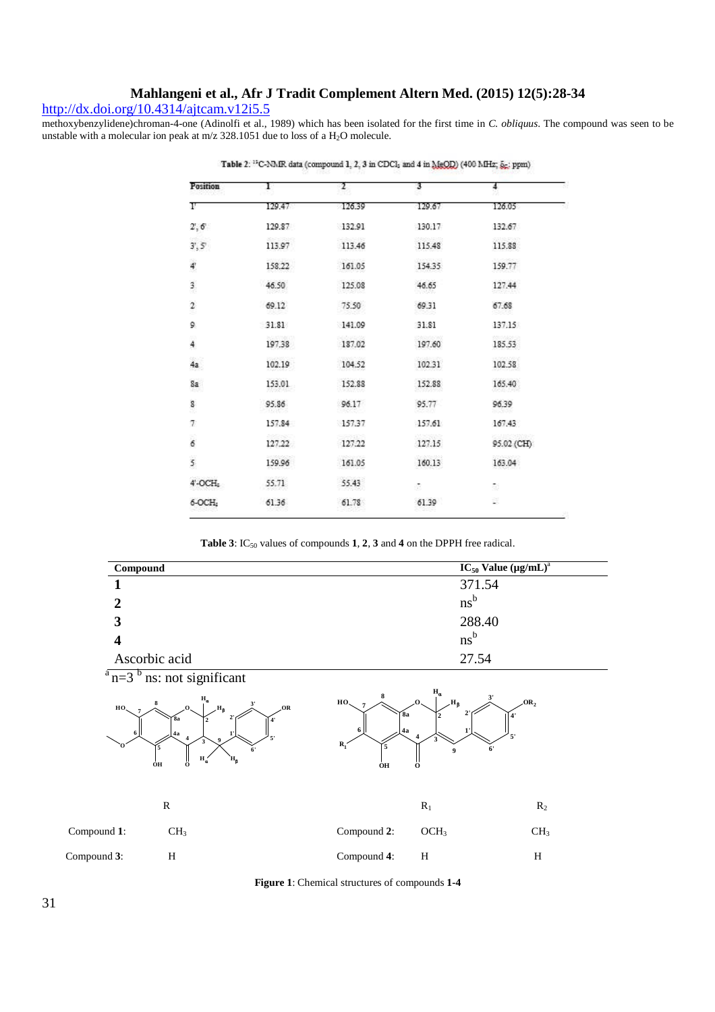# http://dx.doi.org/10.4314/ajtcam.v12i5.5

methoxybenzylidene)chroman-4-one (Adinolfi et al., 1989) which has been isolated for the first time in *C. obliquus*. The compound was seen to be unstable with a molecular ion peak at  $m/z$  328.1051 due to loss of a  $H_2O$  molecule.

| Position                | 1                  | 2      | 3                   | 4                 |
|-------------------------|--------------------|--------|---------------------|-------------------|
| г                       | 129.47             | 126.39 | 129.67              | 126.05            |
| 2', 6'                  | 129.87             | 132.91 | 130.17              | 132.67            |
| $3^{\circ}, 5^{\circ}$  | 55221222<br>113.97 | 113.46 | 49454425<br>115.48  | na barn<br>115.88 |
| 4                       | 158.22             | 161.05 | 154.35              | 159.77            |
| 3                       | 46.50<br>122243    | 125.08 | 46.65               | 127.44<br>saana   |
| $\overline{2}$<br>×     | 69.12              | 75.50  | 69.31               | 67.68             |
| 9                       | 31.81              | 141.09 | 31.81               | 137.15            |
| VΛ<br>4                 | 197.38             | 187.02 | 4052481<br>197.60   | mocale<br>185.53  |
| <b>COLLECTION</b><br>4a | 102.19             | 104.52 | 102.31              | 022009<br>102.58  |
| 8a<br>25                | 153.01             | 152.88 | 152.88              | 165.40            |
| 8                       | 95.86              | 96.17  | 95.77               | 96.39             |
| 7                       | 157.84             | 157.37 | 157.61              | 167.43            |
| 6                       | 127.22             | 127.22 | 127.15              | 95.02 (CH)        |
| 5                       | 159.96             | 161.05 | 110001010<br>160.13 | 163.04            |
| 4'-OCH-                 | 55.71              | 55.43  | 恣                   | 53                |
| 6-OCH:                  | 61.36              | 61.78  | 61.39               | ä                 |

Table 2: <sup>15</sup>C-NMR data (compound 1, 2, 3 in CDCl<sub>2</sub> and 4 in MeOD) (400 MHz;  $\tilde{g}_2$ ; ppm)

**Table 3**: IC<sub>50</sub> values of compounds **1**, **2**, **3** and **4** on the DPPH free radical.

| Compound                                             |                                                                                                                              |                                                                                                                                                      | $IC_{50}$ Value (µg/mL) <sup>a</sup> |                 |  |
|------------------------------------------------------|------------------------------------------------------------------------------------------------------------------------------|------------------------------------------------------------------------------------------------------------------------------------------------------|--------------------------------------|-----------------|--|
| 1                                                    |                                                                                                                              |                                                                                                                                                      | 371.54                               |                 |  |
| $\boldsymbol{2}$                                     |                                                                                                                              |                                                                                                                                                      | $ns^b$                               |                 |  |
| 3                                                    |                                                                                                                              |                                                                                                                                                      | 288.40                               |                 |  |
| $\overline{\mathbf{4}}$                              |                                                                                                                              |                                                                                                                                                      | $ns^b$                               |                 |  |
| Ascorbic acid                                        |                                                                                                                              |                                                                                                                                                      | 27.54                                |                 |  |
| $a$ <sub>n=3</sub> b <sub>ns</sub> : not significant |                                                                                                                              |                                                                                                                                                      |                                      |                 |  |
| HO.<br>∩8a<br>4a<br>15<br>ÓН                         | $\mathbf{H}_{\alpha}$<br>H <sub>B</sub><br>OR<br>2'<br>$\mathbf{4}$<br>5'<br>6'<br>$H_{\alpha}$<br>$\mathbf{H}_{\beta}$<br>ő | $\mathbf{H}_{\alpha}$<br>3'<br>OR <sub>2</sub><br>Η,<br>HO.<br>2'<br>8a<br>4 <sup>1</sup><br>4a<br>5'<br>$\mathbf{R_{1}}$<br>5<br>6'<br>9<br>ő<br>ÒН |                                      |                 |  |
| ${\bf R}$                                            |                                                                                                                              |                                                                                                                                                      | $\mathbf{R}_1$                       | $R_2$           |  |
| Compound 1:<br>CH <sub>3</sub>                       |                                                                                                                              | Compound 2:                                                                                                                                          | OCH <sub>3</sub>                     | CH <sub>3</sub> |  |
| $\,$ H<br>Compound 3:                                |                                                                                                                              | Compound 4:                                                                                                                                          | H                                    | $\, {\rm H}$    |  |

**Figure 1**: Chemical structures of compounds **1-4**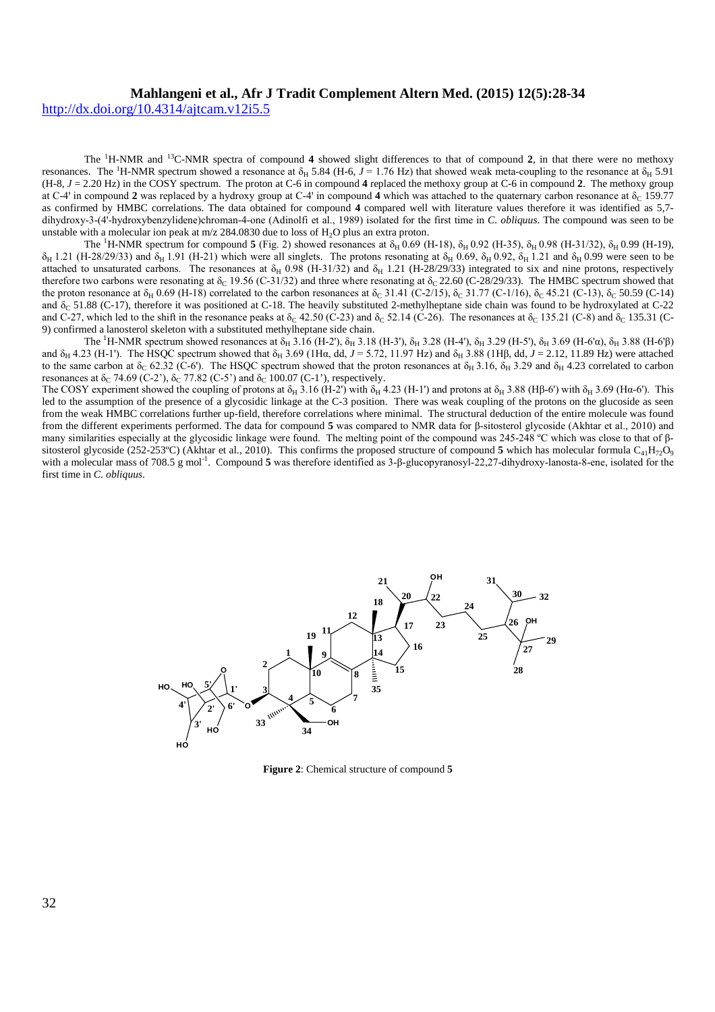http://dx.doi.org/10.4314/ajtcam.v12i5.5

The <sup>1</sup>H-NMR and <sup>13</sup>C-NMR spectra of compound **4** showed slight differences to that of compound **2**, in that there were no methoxy resonances. The <sup>1</sup>H-NMR spectrum showed a resonance at  $\delta_H$  5.84 (H-6, *J* = 1.76 Hz) that showed weak meta-coupling to the resonance at  $\delta_H$  5.91 (H-8, *J* = 2.20 Hz) in the COSY spectrum. The proton at C-6 in compound **4** replaced the methoxy group at C-6 in compound **2**. The methoxy group at C-4' in compound 2 was replaced by a hydroxy group at C-4' in compound 4 which was attached to the quaternary carbon resonance at  $\delta_C$  159.77 as confirmed by HMBC correlations. The data obtained for compound **4** compared well with literature values therefore it was identified as 5,7 dihydroxy-3-(4ꞌ-hydroxybenzylidene)chroman-4-one (Adinolfi et al., 1989) isolated for the first time in *C. obliquus*. The compound was seen to be unstable with a molecular ion peak at  $m/z$  284.0830 due to loss of  $H<sub>2</sub>O$  plus an extra proton.

The <sup>1</sup>H-NMR spectrum for compound **5** (Fig. 2) showed resonances at  $\delta_H$  0.69 (H-18),  $\delta_H$  0.92 (H-35),  $\delta_H$  0.98 (H-31/32),  $\delta_H$  0.99 (H-19),  $\delta_H$  1.21 (H-28/29/33) and  $\delta_H$  1.91 (H-21) which were all singlets. The protons resonating at  $\delta_H$  0.69,  $\delta_H$  0.92,  $\delta_H$  1.21 and  $\delta_H$  0.99 were seen to be attached to unsaturated carbons. The resonances at  $\delta_H$  0.98 (H-31/32) and  $\delta_H$  1.21 (H-28/29/33) integrated to six and nine protons, respectively therefore two carbons were resonating at  $\delta_C$  19.56 (C-31/32) and three where resonating at  $\delta_C$  22.60 (C-28/29/33). The HMBC spectrum showed that the proton resonance at  $\delta_H$  0.69 (H-18) correlated to the carbon resonances at  $\delta_C$  31.41 (C-2/15),  $\delta_C$  31.77 (C-1/16),  $\delta_C$  45.21 (C-13),  $\delta_C$  50.59 (C-14) and δ<sub>C</sub> 51.88 (C-17), therefore it was positioned at C-18. The heavily substituted 2-methylheptane side chain was found to be hydroxylated at C-22 and C-27, which led to the shift in the resonance peaks at  $\delta_C$  42.50 (C-23) and  $\delta_C$  52.14 (C-26). The resonances at  $\delta_C$  135.21 (C-8) and  $\delta_C$  135.31 (C-9) confirmed a lanosterol skeleton with a substituted methylheptane side chain.

The <sup>1</sup>H-NMR spectrum showed resonances at  $\delta_H$  3.16 (H-2'),  $\delta_H$  3.18 (H-3'),  $\delta_H$  3.28 (H-4'),  $\delta_H$  3.29 (H-5'),  $\delta_H$  3.69 (H-6'α),  $\delta_H$  3.88 (H-6'β) and  $\delta_H$  4.23 (H-1'). The HSQC spectrum showed that  $\delta_H$  3.69 (1H $\alpha$ , dd,  $J = 5.72$ , 11.97 Hz) and  $\delta_H$  3.88 (1H $\beta$ , dd,  $J = 2.12$ , 11.89 Hz) were attached to the same carbon at  $\delta_C$  62.32 (C-6'). The HSQC spectrum showed that the proton resonances at  $\delta_H$  3.16,  $\delta_H$  3.29 and  $\delta_H$  4.23 correlated to carbon resonances at  $\delta_C$  74.69 (C-2'),  $\delta_C$  77.82 (C-5') and  $\delta_C$  100.07 (C-1'), respectively.

The COSY experiment showed the coupling of protons at  $\delta_H$  3.16 (H-2') with  $\delta_H$  4.23 (H-1') and protons at  $\delta_H$  3.88 (Hβ-6') with  $\delta_H$  3.69 (Hα-6'). This led to the assumption of the presence of a glycosidic linkage at the C-3 position. There was weak coupling of the protons on the glucoside as seen from the weak HMBC correlations further up-field, therefore correlations where minimal. The structural deduction of the entire molecule was found from the different experiments performed. The data for compound **5** was compared to NMR data for β-sitosterol glycoside (Akhtar et al., 2010) and many similarities especially at the glycosidic linkage were found. The melting point of the compound was 245-248 °C which was close to that of βsitosterol glycoside (252-253°C) (Akhtar et al., 2010). This confirms the proposed structure of compound 5 which has molecular formula C<sub>41</sub>H<sub>72</sub>O<sub>9</sub> with a molecular mass of 708.5 g mol<sup>-1</sup>. Compound **5** was therefore identified as 3-β-glucopyranosyl-22,27-dihydroxy-lanosta-8-ene, isolated for the first time in *C. obliquus*.



**Figure 2**: Chemical structure of compound **5**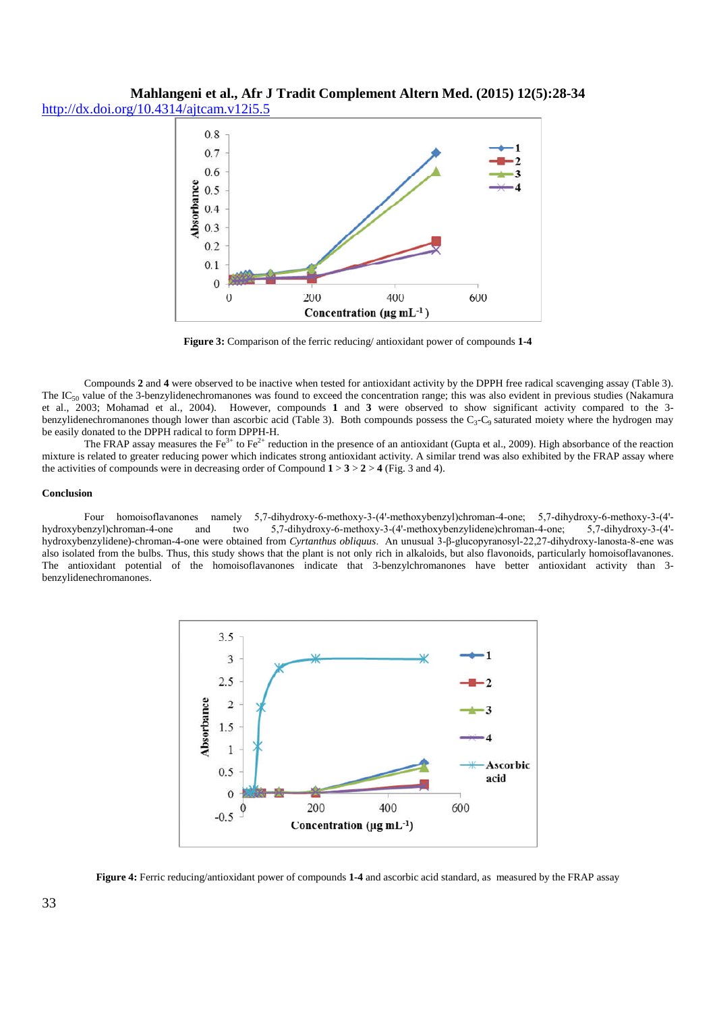**Mahlangeni et al., Afr J Tradit Complement Altern Med. (2015) 12(5):28-34** http://dx.doi.org/10.4314/ajtcam.v12i5.5



**Figure 3:** Comparison of the ferric reducing/ antioxidant power of compounds **1-4**

Compounds **2** and **4** were observed to be inactive when tested for antioxidant activity by the DPPH free radical scavenging assay (Table 3). The  $IC_{50}$  value of the 3-benzylidenechromanones was found to exceed the concentration range; this was also evident in previous studies (Nakamura et al., 2003; Mohamad et al., 2004). However, compounds **1** and **3** were observed to show significant activity compared to the 3 benzylidenechromanones though lower than ascorbic acid (Table 3). Both compounds possess the C<sub>3</sub>-C<sub>9</sub> saturated moiety where the hydrogen may be easily donated to the DPPH radical to form DPPH-H.

The FRAP assay measures the Fe<sup>3+</sup> to Fe<sup>2+</sup> reduction in the presence of an antioxidant (Gupta et al., 2009). High absorbance of the reaction mixture is related to greater reducing power which indicates strong antioxidant activity. A similar trend was also exhibited by the FRAP assay where the activities of compounds were in decreasing order of Compound  $1 > 3 > 2 > 4$  (Fig. 3 and 4).

## **Conclusion**

Four homoisoflavanones namely 5,7-dihydroxy-6-methoxy-3-(4'-methoxybenzyl)chroman-4-one; 5,7-dihydroxy-6-methoxy-3-(4'hydroxybenzyl)chroman-4-one and two 5,7-dihydroxy-6-methoxy-3-(4'-methoxybenzylidene)chroman-4-one; 5,7-dihydroxy-3-(4'hydroxybenzylidene)-chroman-4-one were obtained from *Cyrtanthus obliquus*. An unusual 3-β-glucopyranosyl-22,27-dihydroxy-lanosta-8-ene was also isolated from the bulbs. Thus, this study shows that the plant is not only rich in alkaloids, but also flavonoids, particularly homoisoflavanones. The antioxidant potential of the homoisoflavanones indicate that 3-benzylchromanones have better antioxidant activity than 3 benzylidenechromanones.



**Figure 4:** Ferric reducing/antioxidant power of compounds **1-4** and ascorbic acid standard, as measured by the FRAP assay